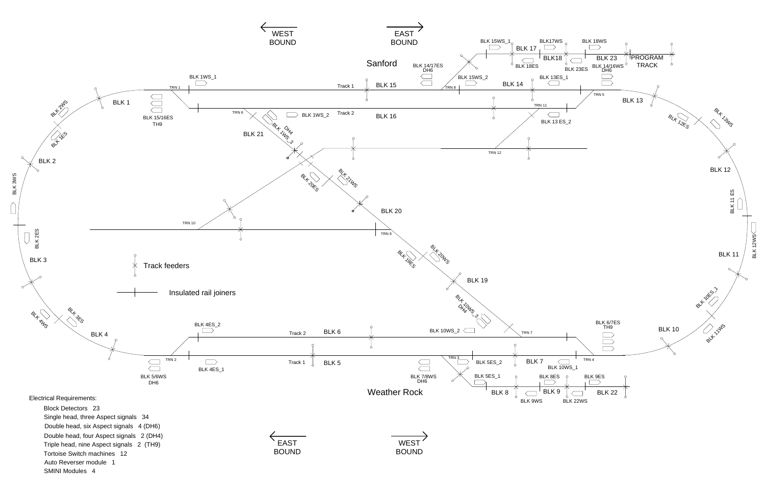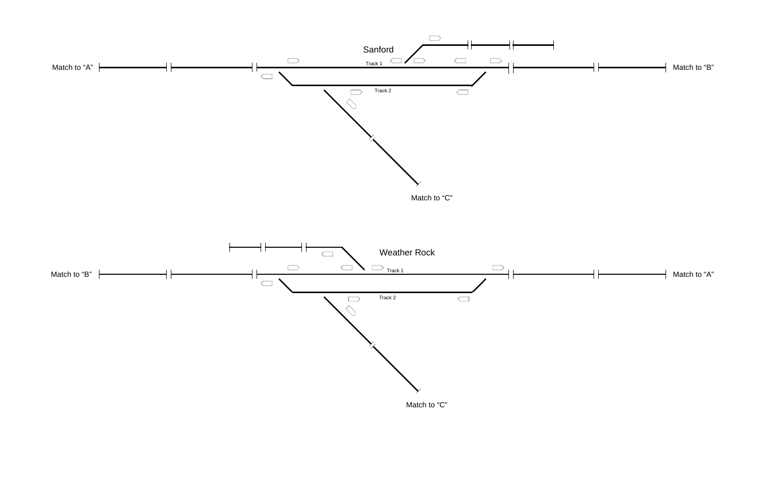$\mathsf{+}$ Match to "B"

Match to "A"